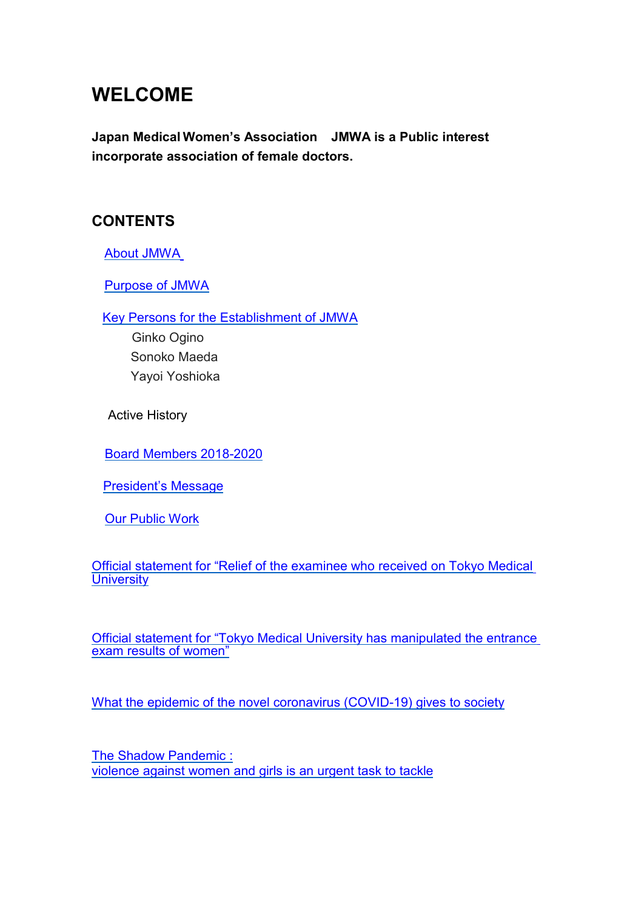# **WELCOME**

**Japan Medical Women's Association JMWA is a Public interest incorporate association of female doctors.**

## **CONTENTS**

[About JMWA](#page-1-0)

[Purpose of JMWA](#page-1-1)

[Key Persons for the Establishment of JMWA](#page-1-2)

 Ginko Ogino Sonoko Maeda Yayoi Yoshioka

Active History

[Board Members 20](#page-2-0)22-2023

[President's Message](#page-3-0)

Our [Public Work](#page-3-1)

[Official statement for "Relief of the examinee who received on Tokyo Medical](#page-4-0) **[University](#page-4-0)** 

[Official statement for "Tokyo Medical University has manipulated the entrance](#page-6-0) [exam results of women"](#page-6-0)

[What the epidemic of the novel coronavirus \(COVID-19\) gives to society](#page-8-0)

[The Shadow Pandemic :](#page-10-0) [violence against women and girls is an urgent task to tackle](#page-10-0)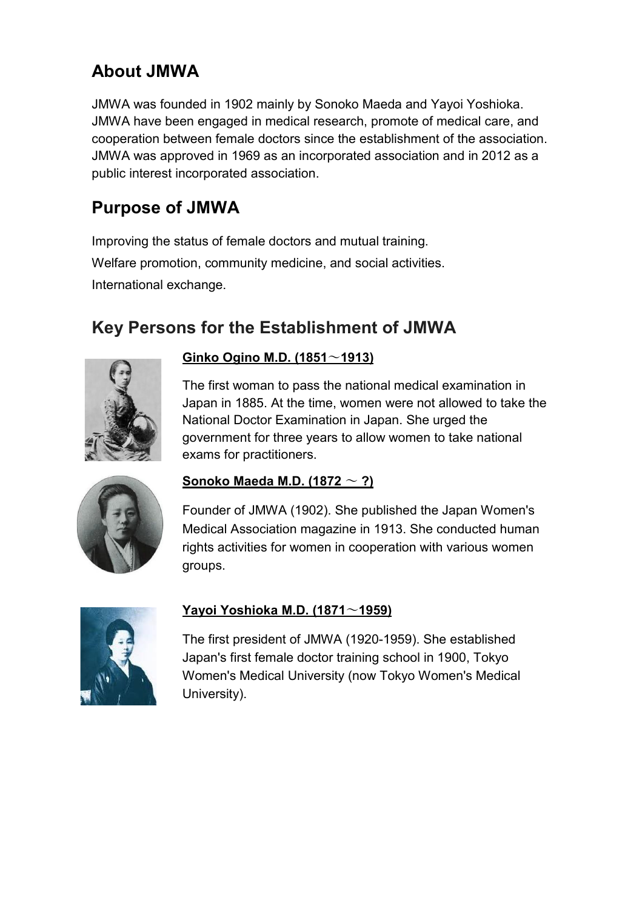# <span id="page-1-0"></span>**About JMWA**

JMWA was founded in 1902 mainly by Sonoko Maeda and Yayoi Yoshioka. JMWA have been engaged in medical research, promote of medical care, and cooperation between female doctors since the establishment of the association. JMWA was approved in 1969 as an incorporated association and in 2012 as a public interest incorporated association.

## <span id="page-1-1"></span>**Purpose of JMWA**

Improving the status of female doctors and mutual training. Welfare promotion, community medicine, and social activities. International exchange.

## <span id="page-1-2"></span>**Key Persons for the Establishment of JMWA**



#### **Ginko Ogino M.D. (1851**〜**1913)**

The first woman to pass the national medical examination in Japan in 1885. At the time, women were not allowed to take the National Doctor Examination in Japan. She urged the government for three years to allow women to take national exams for practitioners.



### **Sonoko Maeda M.D. (1872** 〜 **?)**

Founder of JMWA (1902). She published the Japan Women's Medical Association magazine in 1913. She conducted human rights activities for women in cooperation with various women groups.



#### **Yayoi Yoshioka M.D. (1871**〜**1959)**

The first president of JMWA (1920-1959). She established Japan's first female doctor training school in 1900, Tokyo Women's Medical University (now Tokyo Women's Medical University).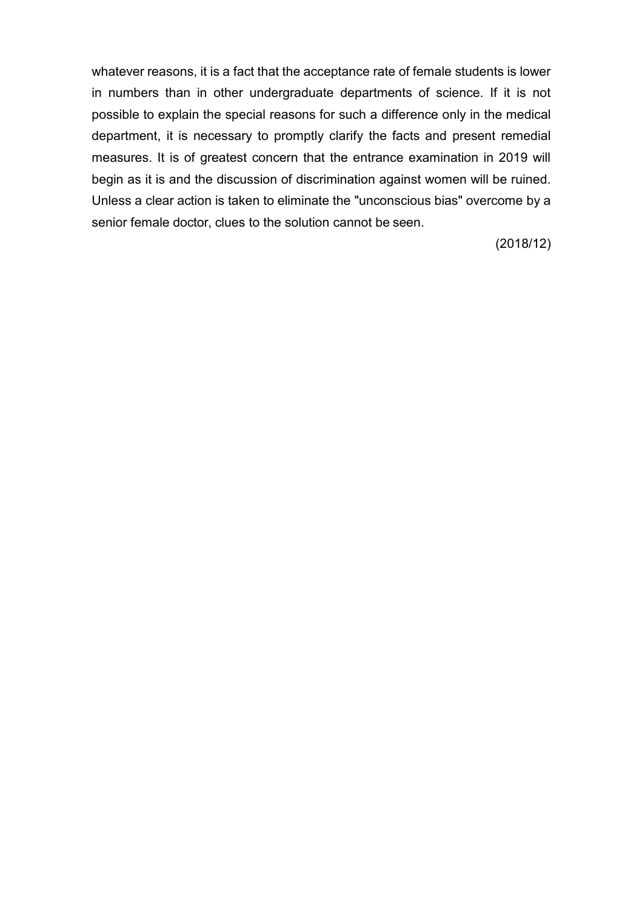whatever reasons, it is a fact that the acceptance rate of female students is lower in numbers than in other undergraduate departments of science. If it is not possible to explain the special reasons for such a difference only in the medical department, it is necessary to promptly clarify the facts and present remedial measures. It is of greatest concern that the entrance examination in 2019 will begin as it is and the discussion of discrimination against women will be ruined. Unless a clear action is taken to eliminate the "unconscious bias" overcome by a senior female doctor, clues to the solution cannot be seen.

(2018/12)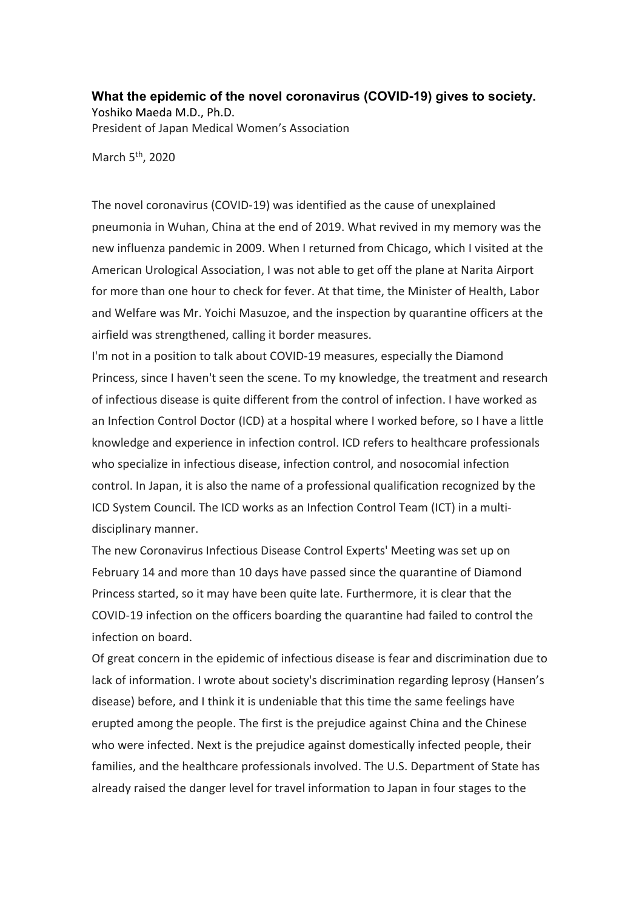<span id="page-8-0"></span>**What the epidemic of the novel coronavirus (COVID-19) gives to society.** Yoshiko Maeda M.D., Ph.D. President of Japan Medical Women's Association

March  $5<sup>th</sup>$ , 2020

The novel coronavirus (COVID-19) was identified as the cause of unexplained pneumonia in Wuhan, China at the end of 2019. What revived in my memory was the new influenza pandemic in 2009. When I returned from Chicago, which I visited at the American Urological Association, I was not able to get off the plane at Narita Airport for more than one hour to check for fever. At that time, the Minister of Health, Labor and Welfare was Mr. Yoichi Masuzoe, and the inspection by quarantine officers at the airfield was strengthened, calling it border measures.

I'm not in a position to talk about COVID-19 measures, especially the Diamond Princess, since I haven't seen the scene. To my knowledge, the treatment and research of infectious disease is quite different from the control of infection. I have worked as an Infection Control Doctor (ICD) at a hospital where I worked before, so I have a little knowledge and experience in infection control. ICD refers to healthcare professionals who specialize in infectious disease, infection control, and nosocomial infection control. In Japan, it is also the name of a professional qualification recognized by the ICD System Council. The ICD works as an Infection Control Team (ICT) in a multidisciplinary manner.

The new Coronavirus Infectious Disease Control Experts' Meeting was set up on February 14 and more than 10 days have passed since the quarantine of Diamond Princess started, so it may have been quite late. Furthermore, it is clear that the COVID-19 infection on the officers boarding the quarantine had failed to control the infection on board.

Of great concern in the epidemic of infectious disease is fear and discrimination due to lack of information. I wrote about society's discrimination regarding leprosy (Hansen's disease) before, and I think it is undeniable that this time the same feelings have erupted among the people. The first is the prejudice against China and the Chinese who were infected. Next is the prejudice against domestically infected people, their families, and the healthcare professionals involved. The U.S. Department of State has already raised the danger level for travel information to Japan in four stages to the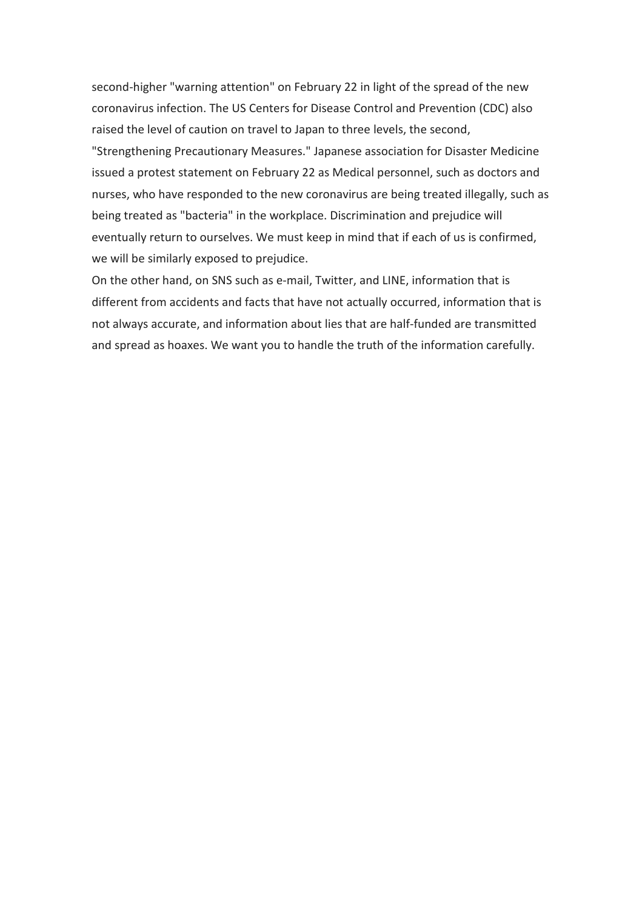second-higher "warning attention" on February 22 in light of the spread of the new coronavirus infection. The US Centers for Disease Control and Prevention (CDC) also raised the level of caution on travel to Japan to three levels, the second, "Strengthening Precautionary Measures." Japanese association for Disaster Medicine issued a protest statement on February 22 as Medical personnel, such as doctors and nurses, who have responded to the new coronavirus are being treated illegally, such as being treated as "bacteria" in the workplace. Discrimination and prejudice will eventually return to ourselves. We must keep in mind that if each of us is confirmed, we will be similarly exposed to prejudice.

On the other hand, on SNS such as e-mail, Twitter, and LINE, information that is different from accidents and facts that have not actually occurred, information that is not always accurate, and information about lies that are half-funded are transmitted and spread as hoaxes. We want you to handle the truth of the information carefully.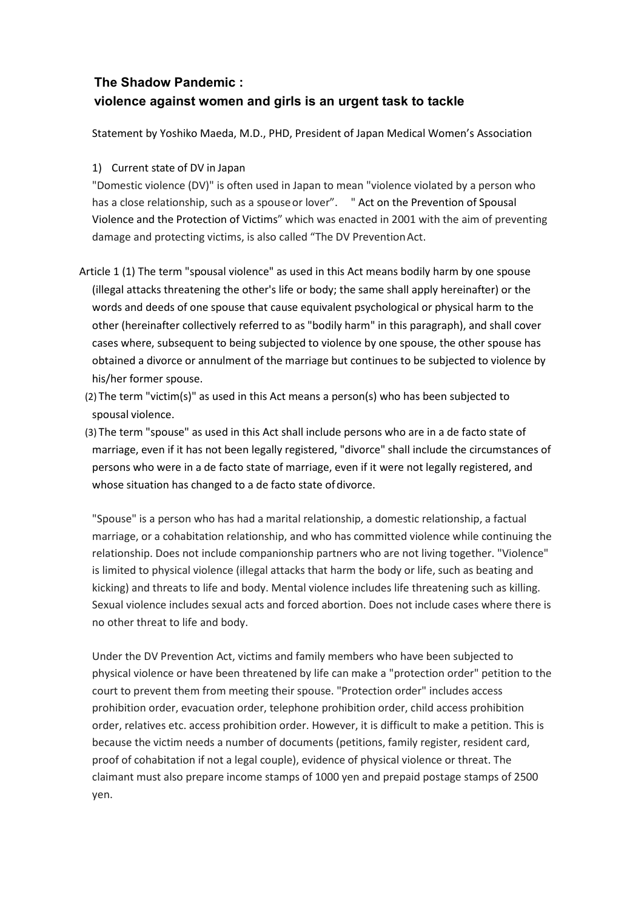### <span id="page-10-0"></span>**The Shadow Pandemic : violence against women and girls is an urgent task to tackle**

Statement by Yoshiko Maeda, M.D., PHD, President of Japan Medical Women's Association

#### 1) Current state of DV in Japan

"Domestic violence (DV)" is often used in Japan to mean "violence violated by a person who has a close relationship, such as a spouseor lover". " Act on the Prevention of Spousal Violence and the Protection of Victims" which was enacted in 2001 with the aim of preventing damage and protecting victims, is also called "The DV Prevention Act.

- Article 1 (1) The term "spousal violence" as used in this Act means bodily harm by one spouse (illegal attacks threatening the other's life or body; the same shall apply hereinafter) or the words and deeds of one spouse that cause equivalent psychological or physical harm to the other (hereinafter collectively referred to as "bodily harm" in this paragraph), and shall cover cases where, subsequent to being subjected to violence by one spouse, the other spouse has obtained a divorce or annulment of the marriage but continues to be subjected to violence by his/her former spouse.
- (2) The term "victim(s)" as used in this Act means a person(s) who has been subjected to spousal violence.
- (3) The term "spouse" as used in this Act shall include persons who are in a de facto state of marriage, even if it has not been legally registered, "divorce" shall include the circumstances of persons who were in a de facto state of marriage, even if it were not legally registered, and whose situation has changed to a de facto state of divorce.

"Spouse" is a person who has had a marital relationship, a domestic relationship, a factual marriage, or a cohabitation relationship, and who has committed violence while continuing the relationship. Does not include companionship partners who are not living together. "Violence" is limited to physical violence (illegal attacks that harm the body or life, such as beating and kicking) and threats to life and body. Mental violence includes life threatening such as killing. Sexual violence includes sexual acts and forced abortion. Does not include cases where there is no other threat to life and body.

Under the DV Prevention Act, victims and family members who have been subjected to physical violence or have been threatened by life can make a "protection order" petition to the court to prevent them from meeting their spouse. "Protection order" includes access prohibition order, evacuation order, telephone prohibition order, child access prohibition order, relatives etc. access prohibition order. However, it is difficult to make a petition. This is because the victim needs a number of documents (petitions, family register, resident card, proof of cohabitation if not a legal couple), evidence of physical violence or threat. The claimant must also prepare income stamps of 1000 yen and prepaid postage stamps of 2500 yen.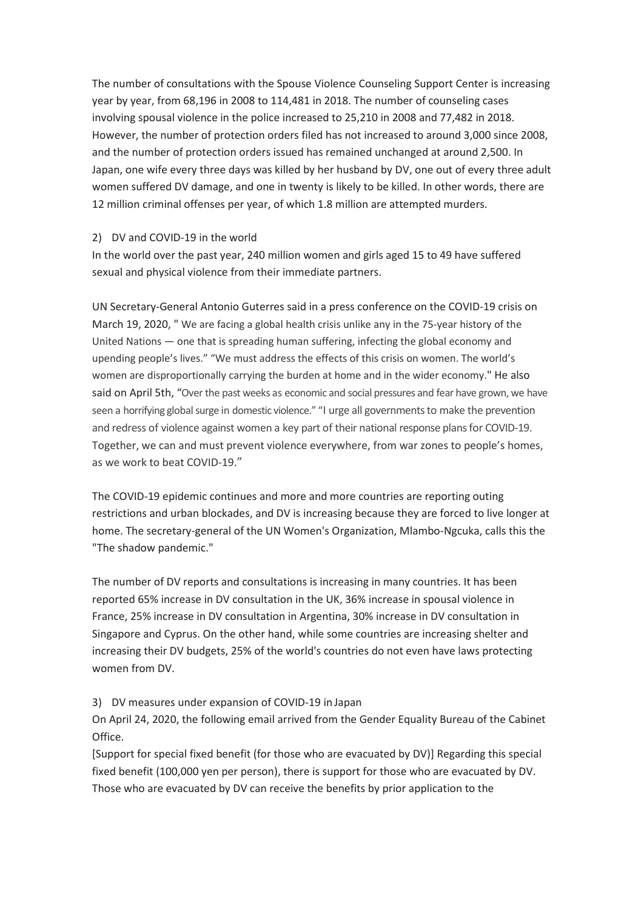The number of consultations with the Spouse Violence Counseling Support Center is increasing year by year, from 68,196 in 2008 to 114,481 in 2018. The number of counseling cases involving spousal violence in the police increased to 25,210 in 2008 and 77,482 in 2018. However, the number of protection orders filed has not increased to around 3,000 since 2008, and the number of protection orders issued has remained unchanged at around 2,500. In Japan, one wife every three days was killed by her husband by DV, one out of every three adult women suffered DV damage, and one in twenty is likely to be killed. In other words, there are 12 million criminal offenses per year, of which 1.8 million are attempted murders.

#### 2) DV and COVID-19 in the world

In the world over the past year, 240 million women and girls aged 15 to 49 have suffered sexual and physical violence from their immediate partners.

UN Secretary-General Antonio Guterres said in a press conference on the COVID-19 crisis on March 19, 2020, " We are facing a global health crisis unlike any in the 75-year history of the United Nations — one that is spreading human suffering, infecting the global economy and upending people's lives." "We must address the effects of this crisis on women. The world's women are disproportionally carrying the burden at home and in the wider economy." He also said on April 5th, "Over the past weeks as economic and social pressures and fear have grown, we have seen a horrifying global surge in domestic violence." "I urge all governments to make the prevention and redress of violence against women a key part of their national response plans for COVID-19. Together, we can and must prevent violence everywhere, from war zones to people's homes, as we work to beat COVID-19."

The COVID-19 epidemic continues and more and more countries are reporting outing restrictions and urban blockades, and DV is increasing because they are forced to live longer at home. The secretary-general of the UN Women's Organization, Mlambo-Ngcuka, calls this the "The shadow pandemic."

The number of DV reports and consultations is increasing in many countries. It has been reported 65% increase in DV consultation in the UK, 36% increase in spousal violence in France, 25% increase in DV consultation in Argentina, 30% increase in DV consultation in Singapore and Cyprus. On the other hand, while some countries are increasing shelter and increasing their DV budgets, 25% of the world's countries do not even have laws protecting women from DV.

#### 3) DV measures under expansion of COVID-19 in Japan

On April 24, 2020, the following email arrived from the Gender Equality Bureau of the Cabinet Office.

[Support for special fixed benefit (for those who are evacuated by DV)] Regarding this special fixed benefit (100,000 yen per person), there is support for those who are evacuated by DV. Those who are evacuated by DV can receive the benefits by prior application to the